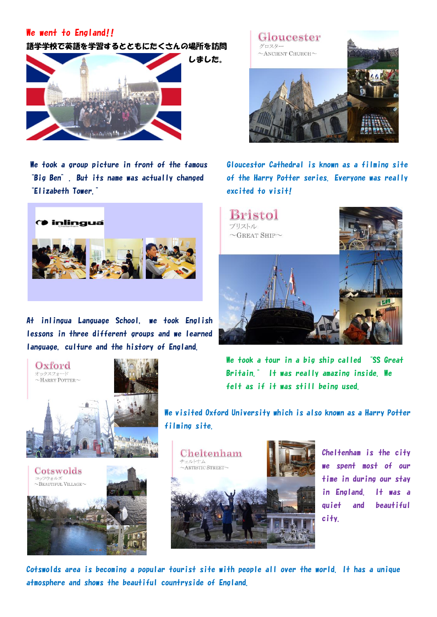## We went to England!!

語学学校で英語を学習するとともにたくさんの場所を訪問



"Elizabeth Tower." excited to visit!



At inlingua Language School, we took English lessons in three different groups and we learned language, culture and the history of England.







We took a group picture in front of the famous Gloucestor Cathedral is known as a filming site "Big Ben". But its name was actually changed of the Harry Potter series. Everyone was really

> Bristol プリストル  $\sim$ GREAT SHIP $\sim$

We took a tour in a big ship called "SS Great" Britain." It was really amazing inside. We felt as if it was still being used.

We visited Oxford University which is also known as a Harry Potter filming site.



Cheltenham is the city we spent most of our time in during our stay in England. It was a quiet and beautiful city.

Cotswolds area is becoming a popular tourist site with people all over the world. It has a unique atmosphere and shows the beautiful countryside of England.